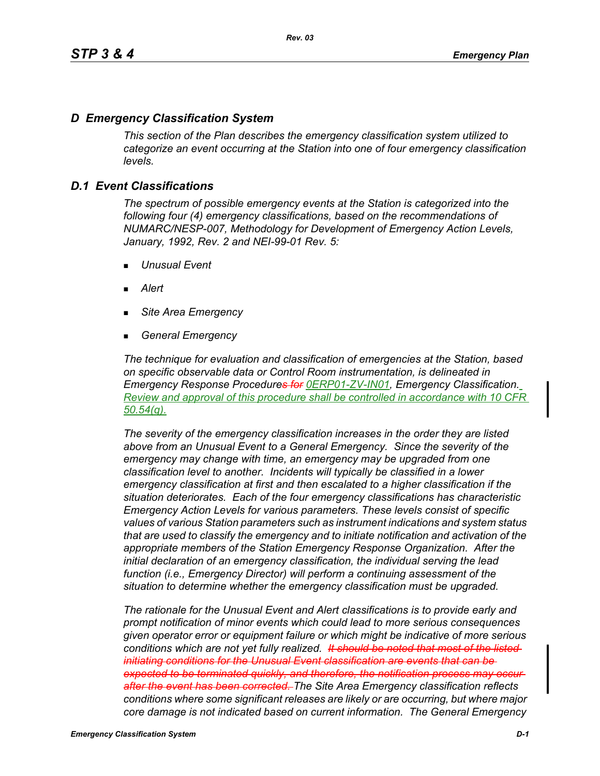# *D Emergency Classification System*

*This section of the Plan describes the emergency classification system utilized to categorize an event occurring at the Station into one of four emergency classification levels.*

# *D.1 Event Classifications*

*The spectrum of possible emergency events at the Station is categorized into the following four (4) emergency classifications, based on the recommendations of NUMARC/NESP-007, Methodology for Development of Emergency Action Levels, January, 1992, Rev. 2 and NEI-99-01 Rev. 5:*

- *Unusual Event*
- *Alert*
- *Site Area Emergency*
- *General Emergency*

*The technique for evaluation and classification of emergencies at the Station, based on specific observable data or Control Room instrumentation, is delineated in Emergency Response Procedures for 0ERP01-ZV-IN01, Emergency Classification. Review and approval of this procedure shall be controlled in accordance with 10 CFR 50.54(q).*

*The severity of the emergency classification increases in the order they are listed above from an Unusual Event to a General Emergency. Since the severity of the emergency may change with time, an emergency may be upgraded from one classification level to another. Incidents will typically be classified in a lower emergency classification at first and then escalated to a higher classification if the situation deteriorates. Each of the four emergency classifications has characteristic Emergency Action Levels for various parameters. These levels consist of specific values of various Station parameters such as instrument indications and system status that are used to classify the emergency and to initiate notification and activation of the appropriate members of the Station Emergency Response Organization. After the initial declaration of an emergency classification, the individual serving the lead function (i.e., Emergency Director) will perform a continuing assessment of the situation to determine whether the emergency classification must be upgraded.*

*The rationale for the Unusual Event and Alert classifications is to provide early and prompt notification of minor events which could lead to more serious consequences given operator error or equipment failure or which might be indicative of more serious conditions which are not yet fully realized. It should be noted that most of the listed initiating conditions for the Unusual Event classification are events that can be expected to be terminated quickly, and therefore, the notification process may occur after the event has been corrected. The Site Area Emergency classification reflects conditions where some significant releases are likely or are occurring, but where major core damage is not indicated based on current information. The General Emergency*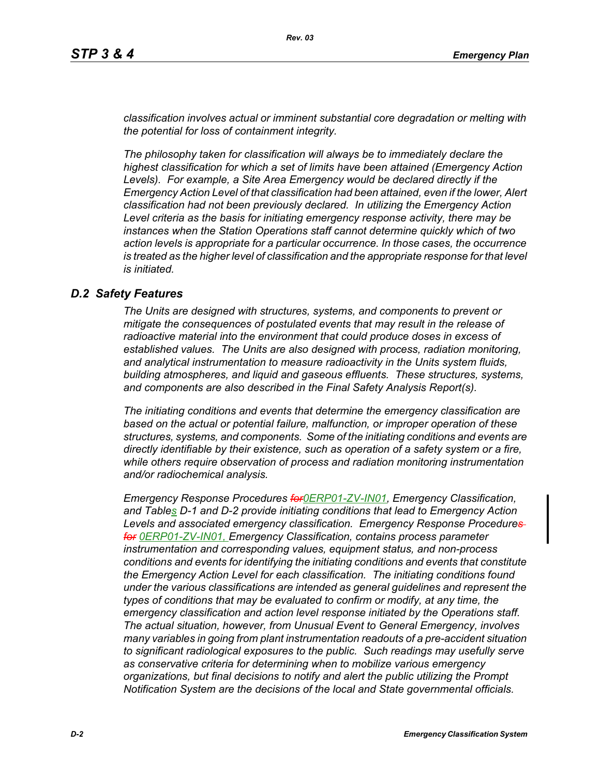*classification involves actual or imminent substantial core degradation or melting with the potential for loss of containment integrity.*

*The philosophy taken for classification will always be to immediately declare the highest classification for which a set of limits have been attained (Emergency Action Levels). For example, a Site Area Emergency would be declared directly if the Emergency Action Level of that classification had been attained, even if the lower, Alert classification had not been previously declared. In utilizing the Emergency Action Level criteria as the basis for initiating emergency response activity, there may be instances when the Station Operations staff cannot determine quickly which of two action levels is appropriate for a particular occurrence. In those cases, the occurrence*  is treated as the higher level of classification and the appropriate response for that level *is initiated.*

## *D.2 Safety Features*

*The Units are designed with structures, systems, and components to prevent or mitigate the consequences of postulated events that may result in the release of radioactive material into the environment that could produce doses in excess of established values. The Units are also designed with process, radiation monitoring, and analytical instrumentation to measure radioactivity in the Units system fluids, building atmospheres, and liquid and gaseous effluents. These structures, systems, and components are also described in the Final Safety Analysis Report(s).*

*The initiating conditions and events that determine the emergency classification are based on the actual or potential failure, malfunction, or improper operation of these structures, systems, and components. Some of the initiating conditions and events are directly identifiable by their existence, such as operation of a safety system or a fire, while others require observation of process and radiation monitoring instrumentation and/or radiochemical analysis.*

*Emergency Response Procedures for0ERP01-ZV-IN01, Emergency Classification, and Tables D-1 and D-2 provide initiating conditions that lead to Emergency Action Levels and associated emergency classification. Emergency Response Procedures for 0ERP01-ZV-IN01, Emergency Classification, contains process parameter instrumentation and corresponding values, equipment status, and non-process conditions and events for identifying the initiating conditions and events that constitute the Emergency Action Level for each classification. The initiating conditions found under the various classifications are intended as general guidelines and represent the types of conditions that may be evaluated to confirm or modify, at any time, the emergency classification and action level response initiated by the Operations staff. The actual situation, however, from Unusual Event to General Emergency, involves many variables in going from plant instrumentation readouts of a pre-accident situation to significant radiological exposures to the public. Such readings may usefully serve as conservative criteria for determining when to mobilize various emergency organizations, but final decisions to notify and alert the public utilizing the Prompt Notification System are the decisions of the local and State governmental officials.*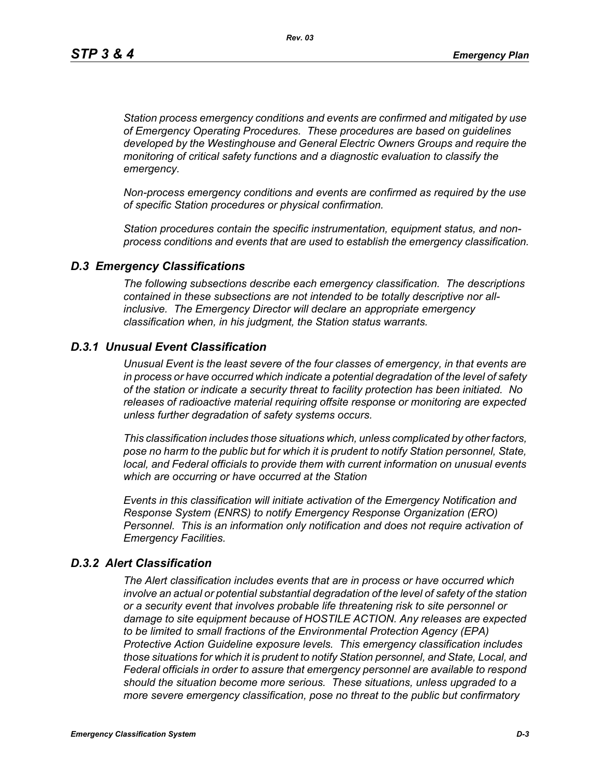*Station process emergency conditions and events are confirmed and mitigated by use of Emergency Operating Procedures. These procedures are based on guidelines developed by the Westinghouse and General Electric Owners Groups and require the monitoring of critical safety functions and a diagnostic evaluation to classify the emergency.*

*Non-process emergency conditions and events are confirmed as required by the use of specific Station procedures or physical confirmation.*

*Station procedures contain the specific instrumentation, equipment status, and nonprocess conditions and events that are used to establish the emergency classification.*

#### *D.3 Emergency Classifications*

*The following subsections describe each emergency classification. The descriptions contained in these subsections are not intended to be totally descriptive nor allinclusive. The Emergency Director will declare an appropriate emergency classification when, in his judgment, the Station status warrants.*

## *D.3.1 Unusual Event Classification*

*Unusual Event is the least severe of the four classes of emergency, in that events are in process or have occurred which indicate a potential degradation of the level of safety of the station or indicate a security threat to facility protection has been initiated. No releases of radioactive material requiring offsite response or monitoring are expected unless further degradation of safety systems occurs.*

*This classification includes those situations which, unless complicated by other factors, pose no harm to the public but for which it is prudent to notify Station personnel, State, local, and Federal officials to provide them with current information on unusual events which are occurring or have occurred at the Station*

*Events in this classification will initiate activation of the Emergency Notification and Response System (ENRS) to notify Emergency Response Organization (ERO) Personnel. This is an information only notification and does not require activation of Emergency Facilities.* 

#### *D.3.2 Alert Classification*

*The Alert classification includes events that are in process or have occurred which involve an actual or potential substantial degradation of the level of safety of the station or a security event that involves probable life threatening risk to site personnel or damage to site equipment because of HOSTILE ACTION. Any releases are expected to be limited to small fractions of the Environmental Protection Agency (EPA) Protective Action Guideline exposure levels. This emergency classification includes those situations for which it is prudent to notify Station personnel, and State, Local, and Federal officials in order to assure that emergency personnel are available to respond should the situation become more serious. These situations, unless upgraded to a more severe emergency classification, pose no threat to the public but confirmatory*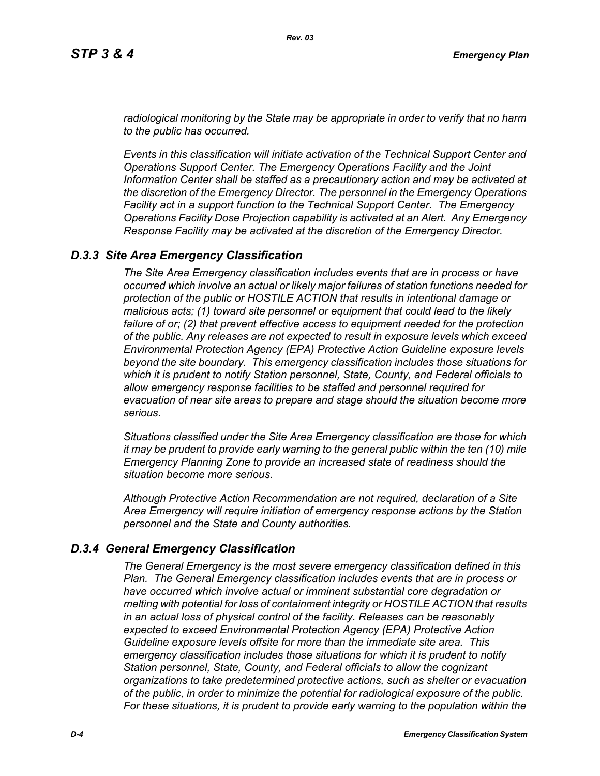*radiological monitoring by the State may be appropriate in order to verify that no harm to the public has occurred.*

*Events in this classification will initiate activation of the Technical Support Center and Operations Support Center. The Emergency Operations Facility and the Joint Information Center shall be staffed as a precautionary action and may be activated at the discretion of the Emergency Director. The personnel in the Emergency Operations Facility act in a support function to the Technical Support Center. The Emergency Operations Facility Dose Projection capability is activated at an Alert. Any Emergency Response Facility may be activated at the discretion of the Emergency Director.*

## *D.3.3 Site Area Emergency Classification*

*The Site Area Emergency classification includes events that are in process or have occurred which involve an actual or likely major failures of station functions needed for protection of the public or HOSTILE ACTION that results in intentional damage or malicious acts; (1) toward site personnel or equipment that could lead to the likely failure of or; (2) that prevent effective access to equipment needed for the protection of the public. Any releases are not expected to result in exposure levels which exceed Environmental Protection Agency (EPA) Protective Action Guideline exposure levels beyond the site boundary. This emergency classification includes those situations for which it is prudent to notify Station personnel, State, County, and Federal officials to allow emergency response facilities to be staffed and personnel required for evacuation of near site areas to prepare and stage should the situation become more serious.* 

*Situations classified under the Site Area Emergency classification are those for which it may be prudent to provide early warning to the general public within the ten (10) mile Emergency Planning Zone to provide an increased state of readiness should the situation become more serious.*

*Although Protective Action Recommendation are not required, declaration of a Site Area Emergency will require initiation of emergency response actions by the Station personnel and the State and County authorities.*

## *D.3.4 General Emergency Classification*

*The General Emergency is the most severe emergency classification defined in this Plan. The General Emergency classification includes events that are in process or have occurred which involve actual or imminent substantial core degradation or melting with potential for loss of containment integrity or HOSTILE ACTION that results in an actual loss of physical control of the facility. Releases can be reasonably expected to exceed Environmental Protection Agency (EPA) Protective Action Guideline exposure levels offsite for more than the immediate site area. This emergency classification includes those situations for which it is prudent to notify Station personnel, State, County, and Federal officials to allow the cognizant organizations to take predetermined protective actions, such as shelter or evacuation of the public, in order to minimize the potential for radiological exposure of the public. For these situations, it is prudent to provide early warning to the population within the*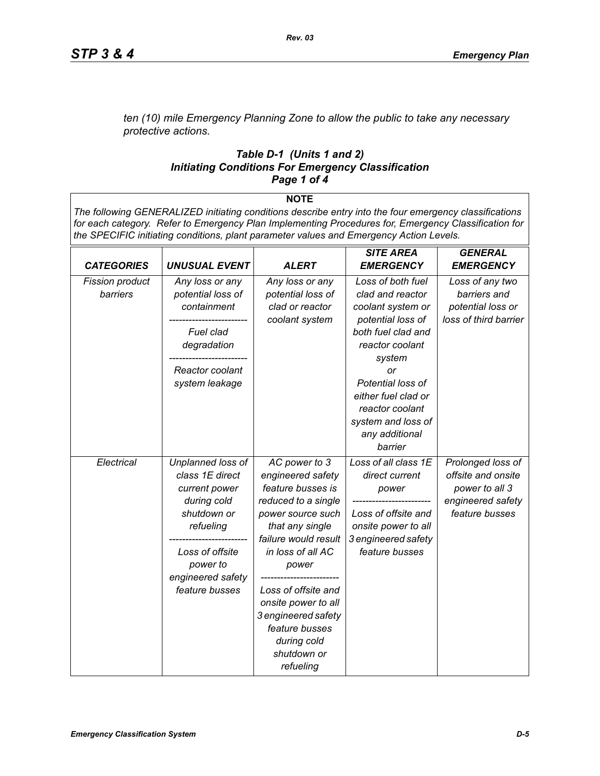*ten (10) mile Emergency Planning Zone to allow the public to take any necessary protective actions.*

#### *Table D-1 (Units 1 and 2) Initiating Conditions For Emergency Classification Page 1 of 4*

**NOTE**

*The following GENERALIZED initiating conditions describe entry into the four emergency classifications for each category. Refer to Emergency Plan Implementing Procedures for, Emergency Classification for the SPECIFIC initiating conditions, plant parameter values and Emergency Action Levels.*

| <b>CATEGORIES</b>                  | <b>UNUSUAL EVENT</b>                                                                                                                                                   | <b>ALERT</b>                                                                                                                                                                                                                                                                                                   | <b>SITE AREA</b><br><b>EMERGENCY</b>                                                                                                                                                                                                                       | <b>GENERAL</b><br><b>EMERGENCY</b>                                                               |
|------------------------------------|------------------------------------------------------------------------------------------------------------------------------------------------------------------------|----------------------------------------------------------------------------------------------------------------------------------------------------------------------------------------------------------------------------------------------------------------------------------------------------------------|------------------------------------------------------------------------------------------------------------------------------------------------------------------------------------------------------------------------------------------------------------|--------------------------------------------------------------------------------------------------|
| <b>Fission product</b><br>barriers | Any loss or any<br>potential loss of<br>containment<br>Fuel clad<br>degradation<br>Reactor coolant<br>system leakage                                                   | Any loss or any<br>potential loss of<br>clad or reactor<br>coolant system                                                                                                                                                                                                                                      | Loss of both fuel<br>clad and reactor<br>coolant system or<br>potential loss of<br>both fuel clad and<br>reactor coolant<br>system<br>or<br>Potential loss of<br>either fuel clad or<br>reactor coolant<br>system and loss of<br>any additional<br>barrier | Loss of any two<br>barriers and<br>potential loss or<br>loss of third barrier                    |
| Electrical                         | Unplanned loss of<br>class 1E direct<br>current power<br>during cold<br>shutdown or<br>refueling<br>Loss of offsite<br>power to<br>engineered safety<br>feature busses | AC power to 3<br>engineered safety<br>feature busses is<br>reduced to a single<br>power source such<br>that any single<br>failure would result<br>in loss of all AC<br>power<br>Loss of offsite and<br>onsite power to all<br>3 engineered safety<br>feature busses<br>during cold<br>shutdown or<br>refueling | Loss of all class 1E<br>direct current<br>power<br>Loss of offsite and<br>onsite power to all<br>3 engineered safety<br>feature busses                                                                                                                     | Prolonged loss of<br>offsite and onsite<br>power to all 3<br>engineered safety<br>feature busses |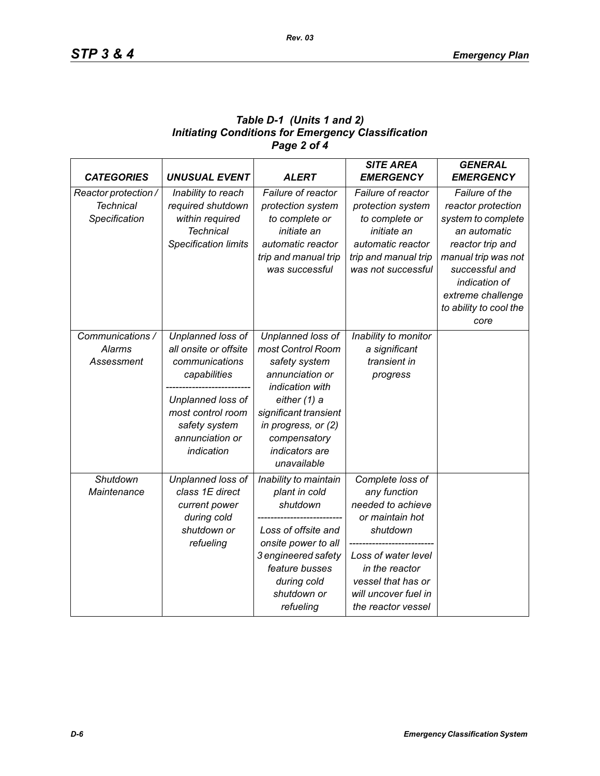# *Table D-1 (Units 1 and 2) Initiating Conditions for Emergency Classification Page 2 of 4*

|                      |                             |                       | <b>SITE AREA</b>     | <b>GENERAL</b>         |
|----------------------|-----------------------------|-----------------------|----------------------|------------------------|
| <b>CATEGORIES</b>    | <b>UNUSUAL EVENT</b>        | <b>ALERT</b>          | <b>EMERGENCY</b>     | <b>EMERGENCY</b>       |
| Reactor protection / | Inability to reach          | Failure of reactor    | Failure of reactor   | Failure of the         |
| <b>Technical</b>     | required shutdown           | protection system     | protection system    | reactor protection     |
| Specification        | within required             | to complete or        | to complete or       | system to complete     |
|                      | <b>Technical</b>            | initiate an           | initiate an          | an automatic           |
|                      | <b>Specification limits</b> | automatic reactor     | automatic reactor    | reactor trip and       |
|                      |                             | trip and manual trip  | trip and manual trip | manual trip was not    |
|                      |                             | was successful        | was not successful   | successful and         |
|                      |                             |                       |                      | indication of          |
|                      |                             |                       |                      | extreme challenge      |
|                      |                             |                       |                      | to ability to cool the |
|                      |                             |                       |                      | core                   |
| Communications /     | Unplanned loss of           | Unplanned loss of     | Inability to monitor |                        |
| Alarms               | all onsite or offsite       | most Control Room     | a significant        |                        |
| Assessment           | communications              | safety system         | transient in         |                        |
|                      | capabilities                | annunciation or       | progress             |                        |
|                      |                             | indication with       |                      |                        |
|                      | Unplanned loss of           | either (1) a          |                      |                        |
|                      | most control room           | significant transient |                      |                        |
|                      | safety system               | in progress, or (2)   |                      |                        |
|                      | annunciation or             | compensatory          |                      |                        |
|                      | indication                  | indicators are        |                      |                        |
|                      |                             | unavailable           |                      |                        |
| Shutdown             | Unplanned loss of           | Inability to maintain | Complete loss of     |                        |
| Maintenance          | class 1E direct             | plant in cold         | any function         |                        |
|                      | current power               | shutdown              | needed to achieve    |                        |
|                      | during cold                 |                       | or maintain hot      |                        |
|                      | shutdown or                 | Loss of offsite and   | shutdown             |                        |
|                      | refueling                   | onsite power to all   |                      |                        |
|                      |                             | 3 engineered safety   | Loss of water level  |                        |
|                      |                             | feature busses        | in the reactor       |                        |
|                      |                             | during cold           | vessel that has or   |                        |
|                      |                             | shutdown or           | will uncover fuel in |                        |
|                      |                             | refueling             | the reactor vessel   |                        |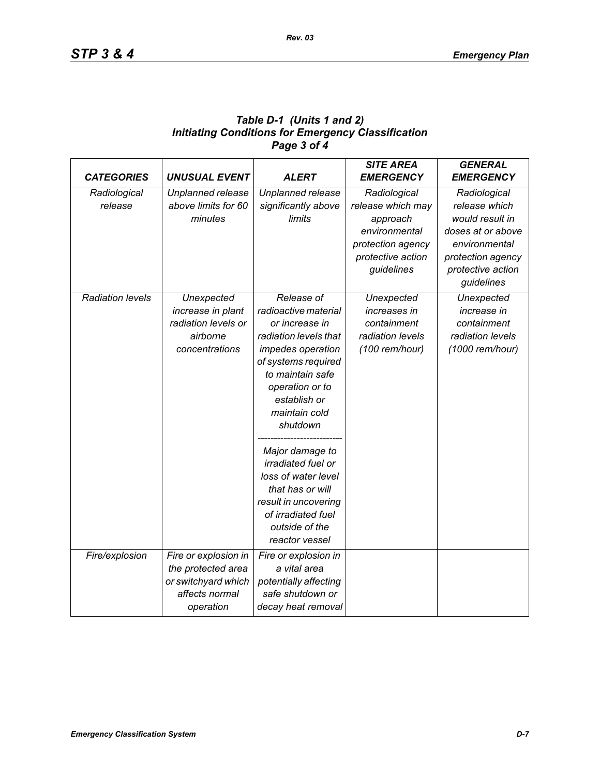| Table D-1 (Units 1 and 2)                                 |
|-----------------------------------------------------------|
| <b>Initiating Conditions for Emergency Classification</b> |
| Page 3 of 4                                               |

| <b>CATEGORIES</b>       | <b>UNUSUAL EVENT</b> | <b>ALERT</b>              | <b>SITE AREA</b><br><b>EMERGENCY</b> | <b>GENERAL</b><br><b>EMERGENCY</b> |
|-------------------------|----------------------|---------------------------|--------------------------------------|------------------------------------|
| Radiological            | Unplanned release    | Unplanned release         | Radiological                         | Radiological                       |
| release                 | above limits for 60  | significantly above       | release which may                    | release which                      |
|                         | minutes              | limits                    | approach                             | would result in                    |
|                         |                      |                           | environmental                        | doses at or above                  |
|                         |                      |                           | protection agency                    | environmental                      |
|                         |                      |                           | protective action                    | protection agency                  |
|                         |                      |                           | guidelines                           | protective action                  |
|                         |                      |                           |                                      | guidelines                         |
| <b>Radiation levels</b> | Unexpected           | Release of                | Unexpected                           | Unexpected                         |
|                         | increase in plant    | radioactive material      | increases in                         | increase in                        |
|                         | radiation levels or  | or increase in            | containment                          | containment                        |
|                         | airborne             | radiation levels that     | radiation levels                     | radiation levels                   |
|                         | concentrations       | impedes operation         | (100 rem/hour)                       | (1000 rem/hour)                    |
|                         |                      | of systems required       |                                      |                                    |
|                         |                      | to maintain safe          |                                      |                                    |
|                         |                      | operation or to           |                                      |                                    |
|                         |                      | establish or              |                                      |                                    |
|                         |                      | maintain cold             |                                      |                                    |
|                         |                      | shutdown                  |                                      |                                    |
|                         |                      | Major damage to           |                                      |                                    |
|                         |                      | <i>irradiated fuel or</i> |                                      |                                    |
|                         |                      | loss of water level       |                                      |                                    |
|                         |                      | that has or will          |                                      |                                    |
|                         |                      | result in uncovering      |                                      |                                    |
|                         |                      | of irradiated fuel        |                                      |                                    |
|                         |                      | outside of the            |                                      |                                    |
|                         |                      | reactor vessel            |                                      |                                    |
| Fire/explosion          | Fire or explosion in | Fire or explosion in      |                                      |                                    |
|                         | the protected area   | a vital area              |                                      |                                    |
|                         | or switchyard which  | potentially affecting     |                                      |                                    |
|                         | affects normal       | safe shutdown or          |                                      |                                    |
|                         | operation            | decay heat removal        |                                      |                                    |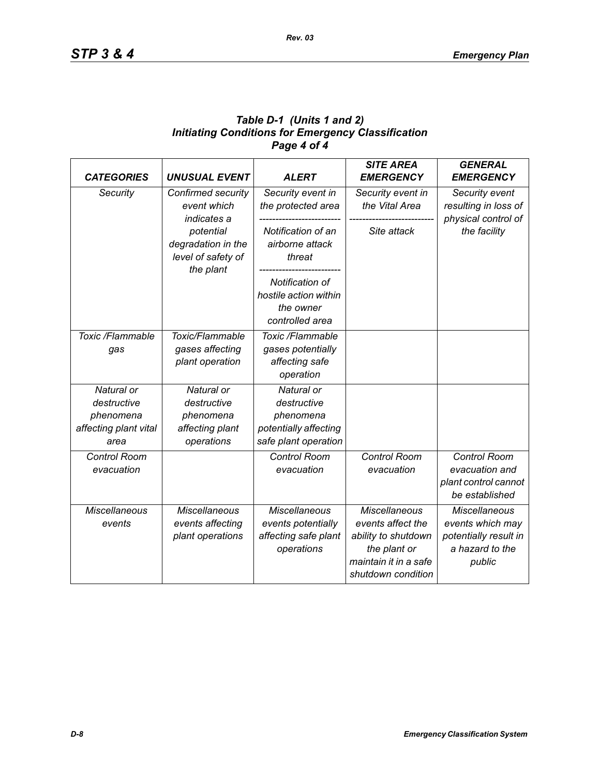# *Table D-1 (Units 1 and 2) Initiating Conditions for Emergency Classification Page 4 of 4*

| <b>CATEGORIES</b>                                                       | <b>UNUSUAL EVENT</b>                                                    | <b>ALERT</b>                                                                            | <b>SITE AREA</b><br><b>EMERGENCY</b>                                                                                            | <b>GENERAL</b><br><b>EMERGENCY</b>                                                             |
|-------------------------------------------------------------------------|-------------------------------------------------------------------------|-----------------------------------------------------------------------------------------|---------------------------------------------------------------------------------------------------------------------------------|------------------------------------------------------------------------------------------------|
| Security                                                                | Confirmed security<br>event which<br>indicates a                        | Security event in<br>the protected area                                                 | Security event in<br>the Vital Area                                                                                             | Security event<br>resulting in loss of<br>physical control of                                  |
|                                                                         | potential<br>degradation in the<br>level of safety of<br>the plant      | Notification of an<br>airborne attack<br>threat                                         | Site attack                                                                                                                     | the facility                                                                                   |
|                                                                         |                                                                         | Notification of<br>hostile action within<br>the owner<br>controlled area                |                                                                                                                                 |                                                                                                |
| Toxic /Flammable<br>gas                                                 | Toxic/Flammable<br>gases affecting<br>plant operation                   | Toxic /Flammable<br>gases potentially<br>affecting safe<br>operation                    |                                                                                                                                 |                                                                                                |
| Natural or<br>destructive<br>phenomena<br>affecting plant vital<br>area | Natural or<br>destructive<br>phenomena<br>affecting plant<br>operations | Natural or<br>destructive<br>phenomena<br>potentially affecting<br>safe plant operation |                                                                                                                                 |                                                                                                |
| Control Room<br>evacuation                                              |                                                                         | <b>Control Room</b><br>evacuation                                                       | <b>Control Room</b><br>evacuation                                                                                               | Control Room<br>evacuation and<br>plant control cannot<br>be established                       |
| <b>Miscellaneous</b><br>events                                          | <b>Miscellaneous</b><br>events affecting<br>plant operations            | <b>Miscellaneous</b><br>events potentially<br>affecting safe plant<br>operations        | <b>Miscellaneous</b><br>events affect the<br>ability to shutdown<br>the plant or<br>maintain it in a safe<br>shutdown condition | <b>Miscellaneous</b><br>events which may<br>potentially result in<br>a hazard to the<br>public |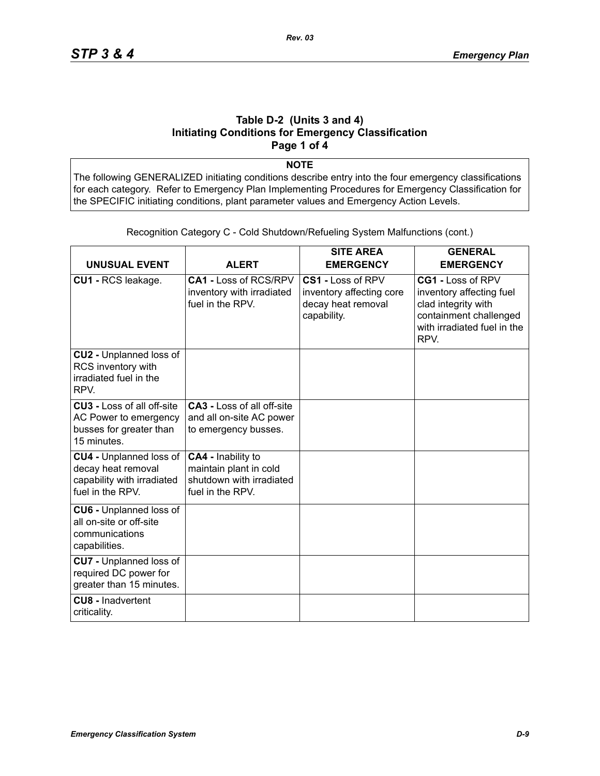#### **Table D-2 (Units 3 and 4) Initiating Conditions for Emergency Classification Page 1 of 4**

**NOTE**

The following GENERALIZED initiating conditions describe entry into the four emergency classifications for each category. Refer to Emergency Plan Implementing Procedures for Emergency Classification for the SPECIFIC initiating conditions, plant parameter values and Emergency Action Levels.

| <b>UNUSUAL EVENT</b>                                                                                   | <b>ALERT</b>                                                                                 | <b>SITE AREA</b><br><b>EMERGENCY</b>                                               | <b>GENERAL</b><br><b>EMERGENCY</b>                                                                                                    |
|--------------------------------------------------------------------------------------------------------|----------------------------------------------------------------------------------------------|------------------------------------------------------------------------------------|---------------------------------------------------------------------------------------------------------------------------------------|
| CU1 - RCS leakage.                                                                                     | CA1 - Loss of RCS/RPV<br>inventory with irradiated<br>fuel in the RPV.                       | CS1 - Loss of RPV<br>inventory affecting core<br>decay heat removal<br>capability. | CG1 - Loss of RPV<br>inventory affecting fuel<br>clad integrity with<br>containment challenged<br>with irradiated fuel in the<br>RPV. |
| CU2 - Unplanned loss of<br>RCS inventory with<br>irradiated fuel in the<br>RPV.                        |                                                                                              |                                                                                    |                                                                                                                                       |
| <b>CU3 - Loss of all off-site</b><br>AC Power to emergency<br>busses for greater than<br>15 minutes.   | <b>CA3 - Loss of all off-site</b><br>and all on-site AC power<br>to emergency busses.        |                                                                                    |                                                                                                                                       |
| <b>CU4 - Unplanned loss of</b><br>decay heat removal<br>capability with irradiated<br>fuel in the RPV. | CA4 - Inability to<br>maintain plant in cold<br>shutdown with irradiated<br>fuel in the RPV. |                                                                                    |                                                                                                                                       |
| <b>CU6 - Unplanned loss of</b><br>all on-site or off-site<br>communications<br>capabilities.           |                                                                                              |                                                                                    |                                                                                                                                       |
| <b>CU7</b> - Unplanned loss of<br>required DC power for<br>greater than 15 minutes.                    |                                                                                              |                                                                                    |                                                                                                                                       |
| <b>CU8 - Inadvertent</b><br>criticality.                                                               |                                                                                              |                                                                                    |                                                                                                                                       |

Recognition Category C - Cold Shutdown/Refueling System Malfunctions (cont.)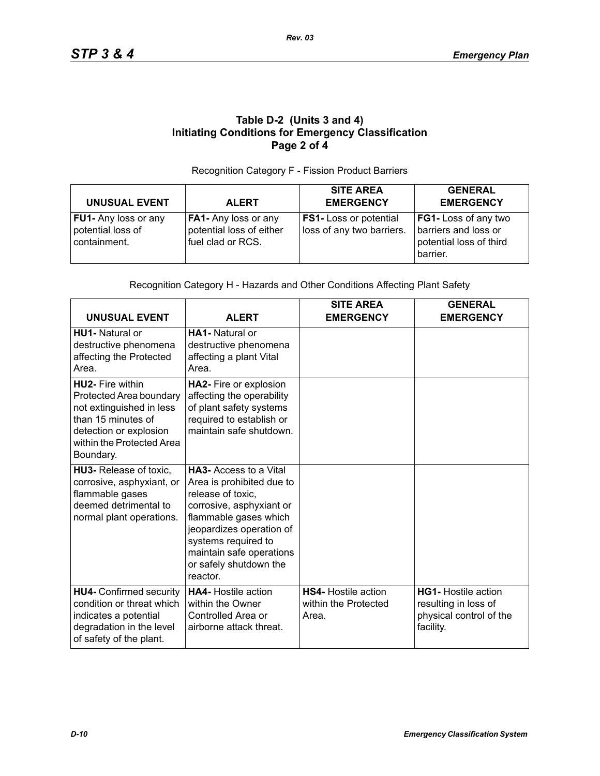# **Table D-2 (Units 3 and 4) Initiating Conditions for Emergency Classification Page 2 of 4**

#### Recognition Category F - Fission Product Barriers

| <b>UNUSUAL EVENT</b>                                             | <b>ALERT</b>                                                                   | <b>SITE AREA</b><br><b>EMERGENCY</b>                       | <b>GENERAL</b><br><b>EMERGENCY</b>                                                        |
|------------------------------------------------------------------|--------------------------------------------------------------------------------|------------------------------------------------------------|-------------------------------------------------------------------------------------------|
| <b>FU1-</b> Any loss or any<br>potential loss of<br>containment. | <b>FA1-</b> Any loss or any<br>potential loss of either<br>I fuel clad or RCS. | <b>FS1-</b> Loss or potential<br>loss of any two barriers. | <b>FG1-Loss of any two</b><br>barriers and loss or<br>potential loss of third<br>barrier. |

#### Recognition Category H - Hazards and Other Conditions Affecting Plant Safety

| <b>UNUSUAL EVENT</b>                                                                                                                                                     | <b>ALERT</b>                                                                                                                                                                                                                                              | <b>SITE AREA</b><br><b>EMERGENCY</b>                        | <b>GENERAL</b><br><b>EMERGENCY</b>                                                         |
|--------------------------------------------------------------------------------------------------------------------------------------------------------------------------|-----------------------------------------------------------------------------------------------------------------------------------------------------------------------------------------------------------------------------------------------------------|-------------------------------------------------------------|--------------------------------------------------------------------------------------------|
| <b>HU1-</b> Natural or<br>destructive phenomena<br>affecting the Protected<br>Area.                                                                                      | <b>HA1-</b> Natural or<br>destructive phenomena<br>affecting a plant Vital<br>Area.                                                                                                                                                                       |                                                             |                                                                                            |
| <b>HU2- Fire within</b><br>Protected Area boundary<br>not extinguished in less<br>than 15 minutes of<br>detection or explosion<br>within the Protected Area<br>Boundary. | HA2- Fire or explosion<br>affecting the operability<br>of plant safety systems<br>required to establish or<br>maintain safe shutdown.                                                                                                                     |                                                             |                                                                                            |
| HU3- Release of toxic,<br>corrosive, asphyxiant, or<br>flammable gases<br>deemed detrimental to<br>normal plant operations.                                              | <b>HA3-</b> Access to a Vital<br>Area is prohibited due to<br>release of toxic,<br>corrosive, asphyxiant or<br>flammable gases which<br>jeopardizes operation of<br>systems required to<br>maintain safe operations<br>or safely shutdown the<br>reactor. |                                                             |                                                                                            |
| <b>HU4- Confirmed security</b><br>condition or threat which<br>indicates a potential<br>degradation in the level<br>of safety of the plant.                              | <b>HA4-</b> Hostile action<br>within the Owner<br>Controlled Area or<br>airborne attack threat.                                                                                                                                                           | <b>HS4-</b> Hostile action<br>within the Protected<br>Area. | <b>HG1-</b> Hostile action<br>resulting in loss of<br>physical control of the<br>facility. |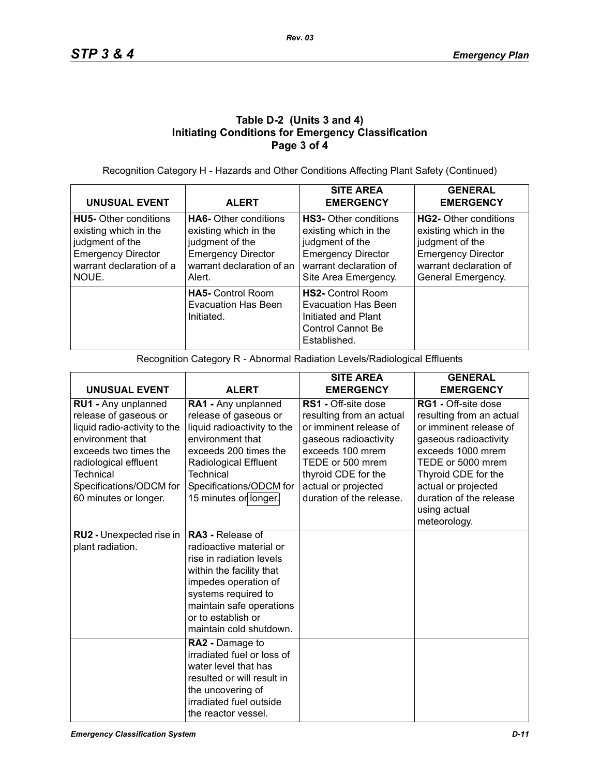# **Table D-2 (Units 3 and 4) Initiating Conditions for Emergency Classification Page 3 of 4**

Recognition Category H - Hazards and Other Conditions Affecting Plant Safety (Continued)

| <b>UNUSUAL EVENT</b>                                                                                                                       | <b>ALERT</b>                                                                                                                                 | <b>SITE AREA</b><br><b>EMERGENCY</b>                                                                                                                    | <b>GENERAL</b><br><b>EMERGENCY</b>                                                                                                             |
|--------------------------------------------------------------------------------------------------------------------------------------------|----------------------------------------------------------------------------------------------------------------------------------------------|---------------------------------------------------------------------------------------------------------------------------------------------------------|------------------------------------------------------------------------------------------------------------------------------------------------|
| <b>HU5-</b> Other conditions<br>existing which in the<br>judgment of the<br><b>Emergency Director</b><br>warrant declaration of a<br>NOUE. | <b>HA6-</b> Other conditions<br>existing which in the<br>judgment of the<br><b>Emergency Director</b><br>warrant declaration of an<br>Alert. | <b>HS3-</b> Other conditions<br>existing which in the<br>judgment of the<br><b>Emergency Director</b><br>warrant declaration of<br>Site Area Emergency. | HG2- Other conditions<br>existing which in the<br>judgment of the<br><b>Emergency Director</b><br>warrant declaration of<br>General Emergency. |
|                                                                                                                                            | <b>HA5-</b> Control Room<br><b>Evacuation Has Been</b><br>Initiated.                                                                         | <b>HS2-</b> Control Room<br>Evacuation Has Been<br>Initiated and Plant<br>Control Cannot Be<br>Established.                                             |                                                                                                                                                |

Recognition Category R - Abnormal Radiation Levels/Radiological Effluents

|                                                                                                                                                                                                                     |                                                                                                                                                                                                                                        | <b>SITE AREA</b>                                                                                                                                                                                                     | <b>GENERAL</b>                                                                                                                                                                                                                        |
|---------------------------------------------------------------------------------------------------------------------------------------------------------------------------------------------------------------------|----------------------------------------------------------------------------------------------------------------------------------------------------------------------------------------------------------------------------------------|----------------------------------------------------------------------------------------------------------------------------------------------------------------------------------------------------------------------|---------------------------------------------------------------------------------------------------------------------------------------------------------------------------------------------------------------------------------------|
| <b>UNUSUAL EVENT</b>                                                                                                                                                                                                | <b>ALERT</b>                                                                                                                                                                                                                           | <b>EMERGENCY</b>                                                                                                                                                                                                     | <b>EMERGENCY</b>                                                                                                                                                                                                                      |
| RU1 - Any unplanned<br>release of gaseous or<br>liquid radio-activity to the<br>environment that<br>exceeds two times the<br>radiological effluent<br>Technical<br>Specifications/ODCM for<br>60 minutes or longer. | RA1 - Any unplanned<br>release of gaseous or<br>liquid radioactivity to the<br>environment that<br>exceeds 200 times the<br>Radiological Effluent<br>Technical<br>Specifications/ODCM for<br>15 minutes or longer.                     | RS1 - Off-site dose<br>resulting from an actual<br>or imminent release of<br>gaseous radioactivity<br>exceeds 100 mrem<br>TEDE or 500 mrem<br>thyroid CDE for the<br>actual or projected<br>duration of the release. | RG1 - Off-site dose<br>resulting from an actual<br>or imminent release of<br>gaseous radioactivity<br>exceeds 1000 mrem<br>TEDE or 5000 mrem<br>Thyroid CDE for the<br>actual or projected<br>duration of the release<br>using actual |
|                                                                                                                                                                                                                     |                                                                                                                                                                                                                                        |                                                                                                                                                                                                                      | meteorology.                                                                                                                                                                                                                          |
| RU2 - Unexpected rise in<br>plant radiation.                                                                                                                                                                        | <b>RA3 - Release of</b><br>radioactive material or<br>rise in radiation levels<br>within the facility that<br>impedes operation of<br>systems required to<br>maintain safe operations<br>or to establish or<br>maintain cold shutdown. |                                                                                                                                                                                                                      |                                                                                                                                                                                                                                       |
|                                                                                                                                                                                                                     | RA2 - Damage to<br>irradiated fuel or loss of<br>water level that has<br>resulted or will result in<br>the uncovering of<br>irradiated fuel outside<br>the reactor vessel.                                                             |                                                                                                                                                                                                                      |                                                                                                                                                                                                                                       |